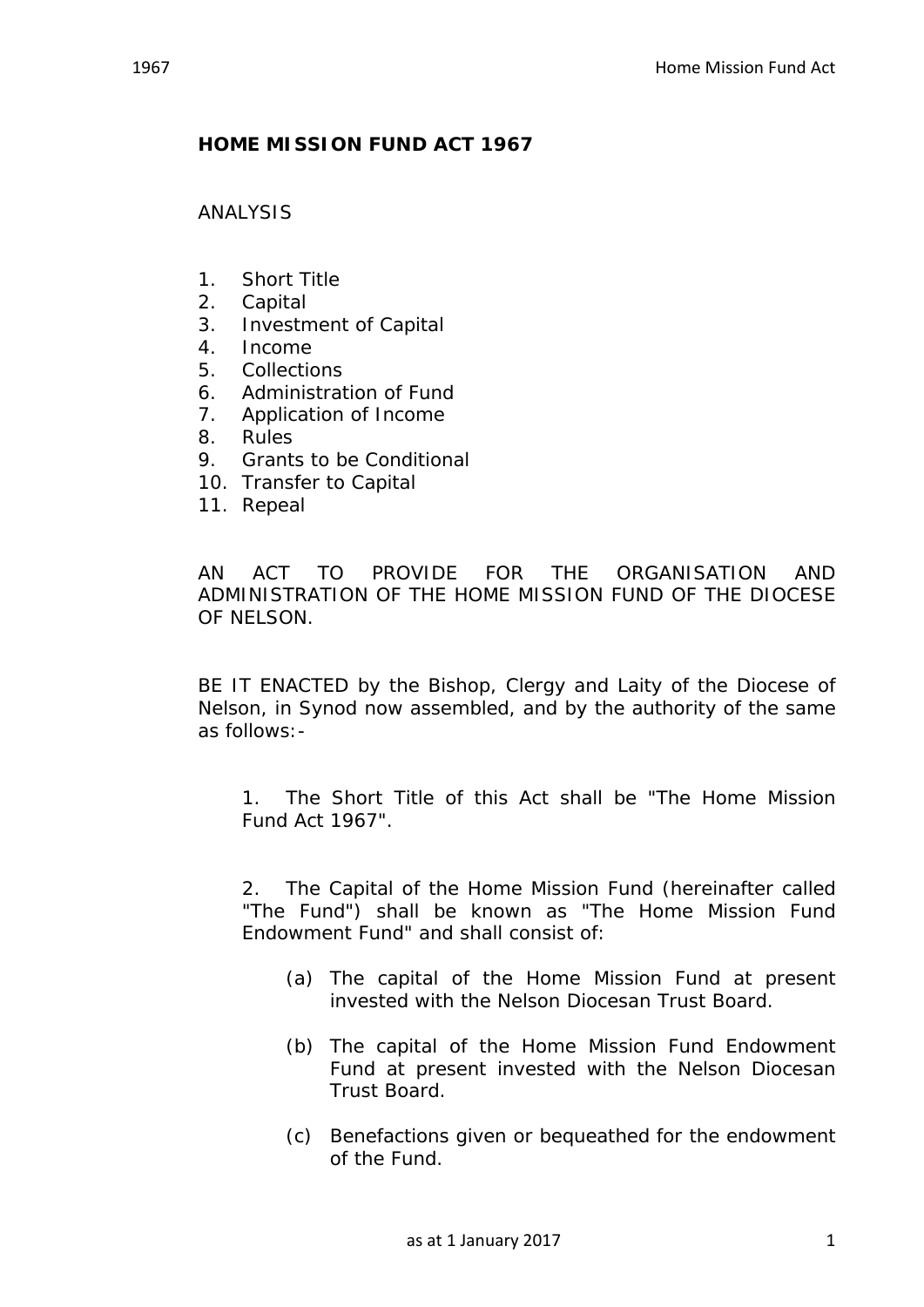## **HOME MISSION FUND ACT 1967**

ANALYSIS

- 1. Short Title
- 2. Capital
- 3. Investment of Capital
- 4. Income
- 5. Collections
- 6. Administration of Fund
- 7. Application of Income
- 8. Rules
- 9. Grants to be Conditional
- 10. Transfer to Capital
- 11. Repeal

AN ACT TO PROVIDE FOR THE ORGANISATION AND ADMINISTRATION OF THE HOME MISSION FUND OF THE DIOCESE OF NELSON.

BE IT ENACTED by the Bishop, Clergy and Laity of the Diocese of Nelson, in Synod now assembled, and by the authority of the same as follows:-

1. The Short Title of this Act shall be "The Home Mission Fund Act 1967".

2. The Capital of the Home Mission Fund (hereinafter called "The Fund") shall be known as "The Home Mission Fund Endowment Fund" and shall consist of:

- (a) The capital of the Home Mission Fund at present invested with the Nelson Diocesan Trust Board.
- (b) The capital of the Home Mission Fund Endowment Fund at present invested with the Nelson Diocesan Trust Board.
- (c) Benefactions given or bequeathed for the endowment of the Fund.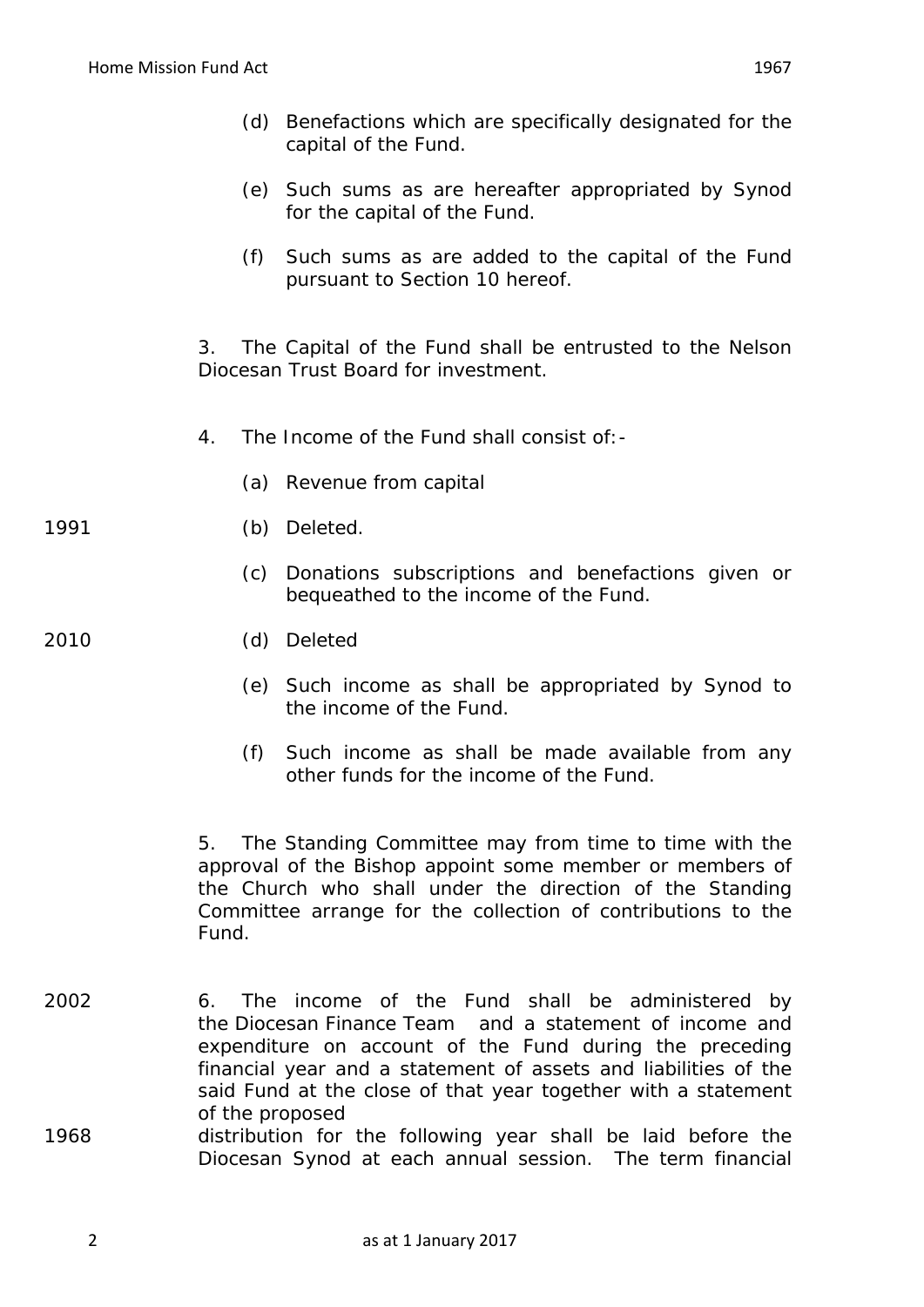- (d) Benefactions which are specifically designated for the capital of the Fund.
- (e) Such sums as are hereafter appropriated by Synod for the capital of the Fund.
- (f) Such sums as are added to the capital of the Fund pursuant to Section 10 hereof.

3. The Capital of the Fund shall be entrusted to the Nelson Diocesan Trust Board for investment.

- 4. The Income of the Fund shall consist of:-
	- (a) Revenue from capital

## 1991 (b) Deleted.

(c) Donations subscriptions and benefactions given or bequeathed to the income of the Fund.

## 2010 (d) Deleted

- (e) Such income as shall be appropriated by Synod to the income of the Fund.
- (f) Such income as shall be made available from any other funds for the income of the Fund.

5. The Standing Committee may from time to time with the approval of the Bishop appoint some member or members of the Church who shall under the direction of the Standing Committee arrange for the collection of contributions to the Fund.

- 2002 6. The income of the Fund shall be administered by the Diocesan Finance Team and a statement of income and expenditure on account of the Fund during the preceding financial year and a statement of assets and liabilities of the said Fund at the close of that year together with a statement of the proposed
- 1968 distribution for the following year shall be laid before the Diocesan Synod at each annual session. The term financial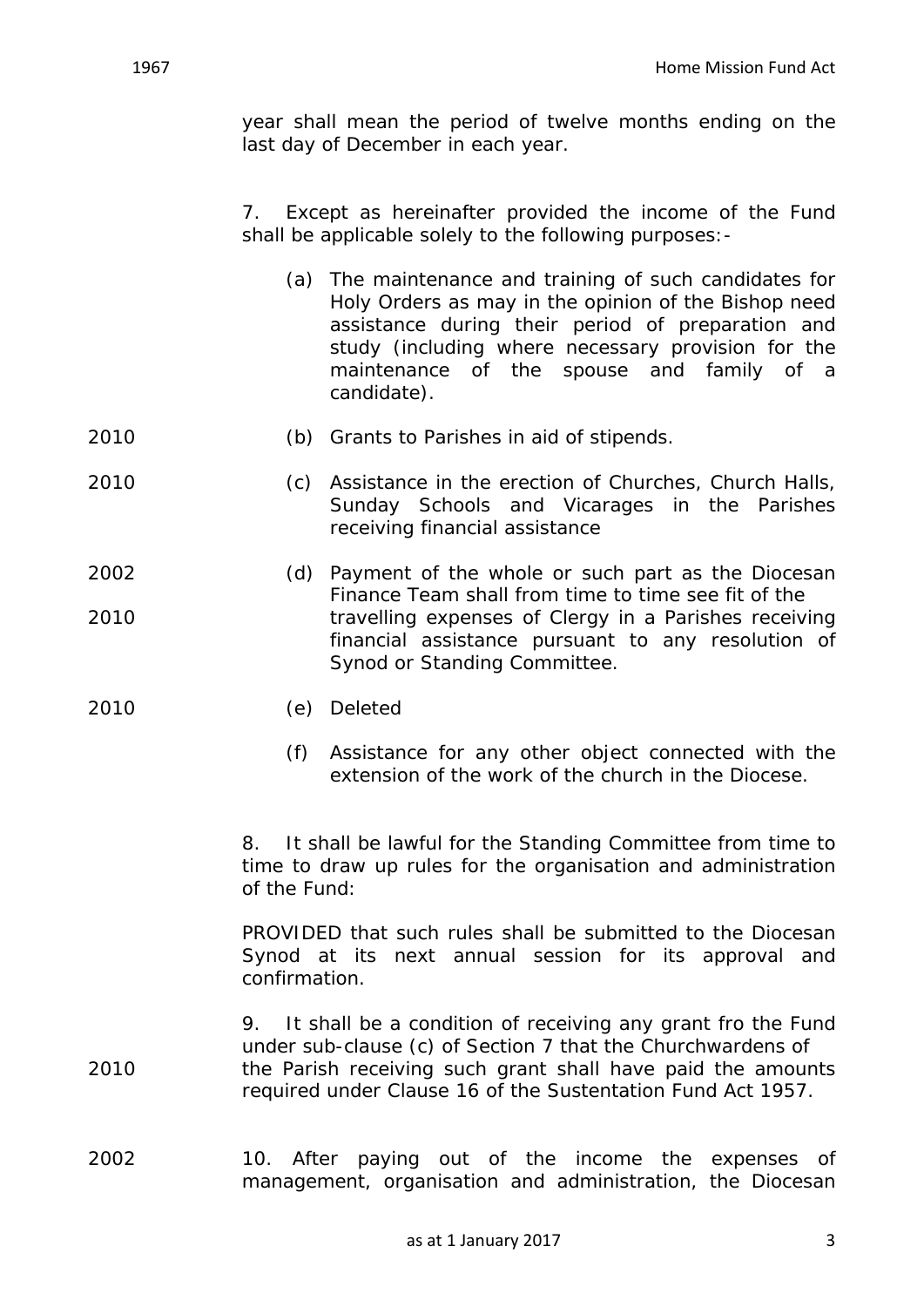year shall mean the period of twelve months ending on the last day of December in each year.

7. Except as hereinafter provided the income of the Fund shall be applicable solely to the following purposes:-

- (a) The maintenance and training of such candidates for Holy Orders as may in the opinion of the Bishop need assistance during their period of preparation and study (including where necessary provision for the maintenance of the spouse and family of a candidate).
- 2010 (b) Grants to Parishes in aid of stipends.
- 2010 (c) Assistance in the erection of Churches, Church Halls, Sunday Schools and Vicarages in the Parishes receiving financial assistance
- 2002 (d) Payment of the whole or such part as the Diocesan Finance Team shall from time to time see fit of the 2010 travelling expenses of Clergy in a Parishes receiving financial assistance pursuant to any resolution of Synod or Standing Committee.
- 2010 (e) Deleted
	- (f) Assistance for any other object connected with the extension of the work of the church in the Diocese.

8. It shall be lawful for the Standing Committee from time to time to draw up rules for the organisation and administration of the Fund:

PROVIDED that such rules shall be submitted to the Diocesan Synod at its next annual session for its approval and confirmation.

- 9. It shall be a condition of receiving any grant fro the Fund under sub-clause (c) of Section 7 that the Churchwardens of 2010 the Parish receiving such grant shall have paid the amounts required under Clause 16 of the Sustentation Fund Act 1957.
- 2002 10. After paying out of the income the expenses of management, organisation and administration, the Diocesan